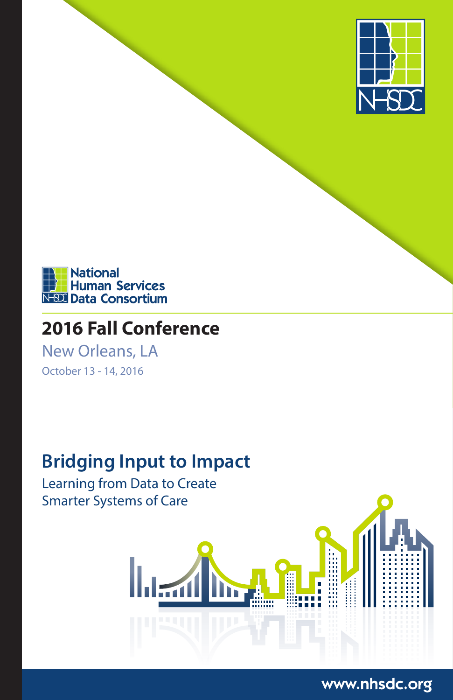



# **2016 Fall Conference**

New Orleans, LA October 13 - 14, 2016

# **Bridging Input to Impact**

Learning from Data to Create Smarter Systems of Care



## www.nhsdc.org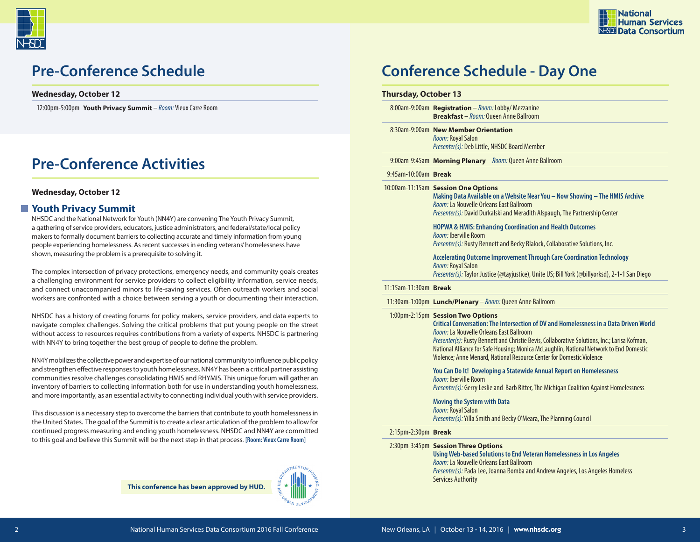



#### **Wednesday, October 12**

12:00pm-5:00pm **Youth Privacy Summit** – *Room:* Vieux Carre Room

# **Pre-Conference Activities**

#### **Wednesday, October 12**

### **Youth Privacy Summit**

NHSDC and the National Network for Youth (NN4Y) are convening The Youth Privacy Summit, a gathering of service providers, educators, justice administrators, and federal/state/local policy makers to formally document barriers to collecting accurate and timely information from young people experiencing homelessness. As recent successes in ending veterans' homelessness have shown, measuring the problem is a prerequisite to solving it.

The complex intersection of privacy protections, emergency needs, and community goals creates a challenging environment for service providers to collect eligibility information, service needs, and connect unaccompanied minors to life-saving services. Often outreach workers and social workers are confronted with a choice between serving a youth or documenting their interaction.

NHSDC has a history of creating forums for policy makers, service providers, and data experts to navigate complex challenges. Solving the critical problems that put young people on the street without access to resources requires contributions from a variety of experts. NHSDC is partnering with NN4Y to bring together the best group of people to define the problem.

NN4Y mobilizes the collective power and expertise of our national community to influence public policy and strengthen effective responses to youth homelessness. NN4Y has been a critical partner assisting communities resolve challenges consolidating HMIS and RHYMIS. This unique forum will gather an inventory of barriers to collecting information both for use in understanding youth homelessness, and more importantly, as an essential activity to connecting individual youth with service providers.

This discussion is a necessary step to overcome the barriers that contribute to youth homelessness in the United States. The goal of the Summit is to create a clear articulation of the problem to allow for continued progress measuring and ending youth homelessness. NHSDC and NN4Y are committed to this goal and believe this Summit will be the next step in that process. **[Room: Vieux Carre Room]**



# **Pre-Conference Schedule Conference Schedule - Day One**

#### **Thursday, October 13**

8:00am-9:00am **Registration** – *Room:*Lobby/ Mezzanine **Breakfast** – *Room:* Queen Anne Ballroom

8:30am-9:00am **New Member Orientation** *Room:* Royal Salon *Presenter(s):* Deb Little, NHSDC Board Member

9:00am-9:45am **Morning Plenary** – *Room:* Queen Anne Ballroom

#### 9:45am-10:00am **Break**

10:00am-11:15am **Session One Options**

**Making Data Available on a Website Near You – Now Showing – The HMIS Archive**  *Room:* La Nouvelle Orleans East Ballroom *Presenter(s):* David Durkalski and Meradith Alspaugh, The Partnership Center

**HOPWA & HMIS: Enhancing Coordination and Health Outcomes** *Room:* Iberville Room *Presenter(s):* Rusty Bennett and Becky Blalock, Collaborative Solutions, Inc.

**Accelerating Outcome Improvement Through Care Coordination Technology** *Room:* Royal Salon *Presenter(s):* Taylor Justice (@tayjustice), Unite US; Bill York (@billyorksd), 2-1-1 San Diego

#### 11:15am-11:30am **Break**

11:30am-1:00pm **Lunch/Plenary** – *Room:* Queen Anne Ballroom

#### 1:00pm-2:15pm **Session Two Options**

#### **Critical Conversation: The Intersection of DV and Homelessness in a Data Driven World** *Room:* La Nouvelle Orleans East Ballroom

*Presenter(s):* Rusty Bennett and Christie Bevis, Collaborative Solutions, Inc.; Larisa Kofman, National Alliance for Safe Housing; Monica McLaughlin, National Network to End Domestic Violence; Anne Menard, National Resource Center for Domestic Violence

### **You Can Do It! Developing a Statewide Annual Report on Homelessness**

*Room:* Iberville Room

*Presenter(s):* Gerry Leslie and Barb Ritter, The Michigan Coalition Against Homelessness

**Moving the System with Data**

*Room:* Royal Salon *Presenter(s):* Yilla Smith and Becky O'Meara, The Planning Council

#### 2:15pm-2:30pm **Break**

#### 2:30pm-3:45pm **Session Three Options**

**Using Web-based Solutions to End Veteran Homelessness in Los Angeles**  *Room:* La Nouvelle Orleans East Ballroom *Presenter(s):* Pada Lee, Joanna Bomba and Andrew Angeles, Los Angeles Homeless Services Authority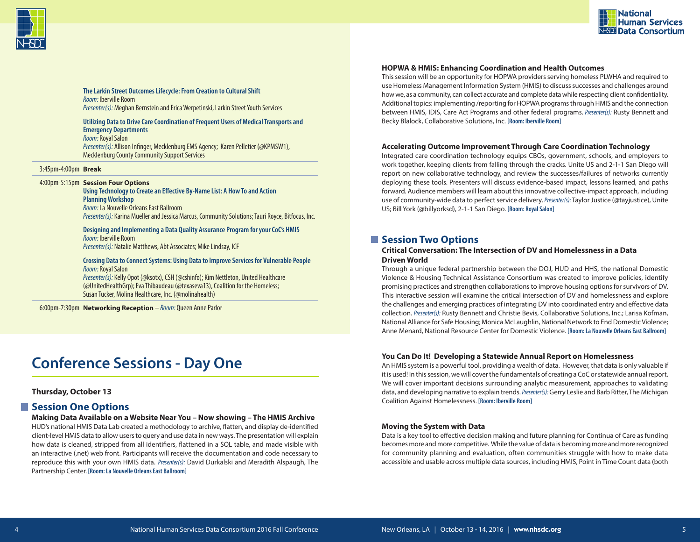



**The Larkin Street Outcomes Lifecycle: From Creation to Cultural Shift** *Room:* Iberville Room *Presenter(s):* Meghan Bernstein and Erica Werpetinski, Larkin Street Youth Services

#### **Utilizing Data to Drive Care Coordination of Frequent Users of Medical Transports and Emergency Departments**

*Room:* Royal Salon *Presenter(s):* Allison Infinger, Mecklenburg EMS Agency; Karen Pelletier (@KPMSW1), Mecklenburg County Community Support Services

#### 3:45pm-4:00pm **Break**

#### 4:00pm-5:15pm **Session Four Options**

**Using Technology to Create an Effective By-Name List: A How To and Action Planning Workshop** *Room:* La Nouvelle Orleans East Ballroom *Presenter(s):* Karina Mueller and Jessica Marcus, Community Solutions; Tauri Royce, Bitfocus, Inc.

**Designing and Implementing a Data Quality Assurance Program for your CoC's HMIS** *Room:* Iberville Room *Presenter(s):* Natalie Matthews, Abt Associates; Mike Lindsay, ICF

#### **Crossing Data to Connect Systems: Using Data to Improve Services for Vulnerable People** *Room:* Royal Salon

*Presenter(s):* Kelly Opot (@ksotx), CSH (@cshinfo); Kim Nettleton, United Healthcare (@UnitedHealthGrp); Eva Thibaudeau (@texaseva13), Coalition for the Homeless; Susan Tucker, Molina Healthcare, Inc. (@molinahealth)

6:00pm-7:30pm **Networking Reception** – *Room:* Queen Anne Parlor

# **Conference Sessions - Day One**

#### **Thursday, October 13**

### ■ Session One Options

**Making Data Available on a Website Near You – Now showing – The HMIS Archive** HUD's national HMIS Data Lab created a methodology to archive, flatten, and display de-identified client-level HMIS data to allow users to query and use data in new ways. The presentation will explain

how data is cleaned, stripped from all identifiers, flattened in a SQL table, and made visible with an interactive (.net) web front. Participants will receive the documentation and code necessary to reproduce this with your own HMIS data. *Presenter(s):* David Durkalski and Meradith Alspaugh, The Partnership Center. **[Room: La Nouvelle Orleans East Ballroom]**

#### **HOPWA & HMIS: Enhancing Coordination and Health Outcomes**

This session will be an opportunity for HOPWA providers serving homeless PLWHA and required to use Homeless Management Information System (HMIS) to discuss successes and challenges around how we, as a community, can collect accurate and complete data while respecting client confidentiality. Additional topics: implementing /reporting for HOPWA programs through HMIS and the connection between HMIS, IDIS, Care Act Programs and other federal programs. *Presenter(s):* Rusty Bennett and Becky Blalock, Collaborative Solutions, Inc. **[Room: Iberville Room]**

#### **Accelerating Outcome Improvement Through Care Coordination Technology**

Integrated care coordination technology equips CBOs, government, schools, and employers to work together, keeping clients from falling through the cracks. Unite US and 2-1-1 San Diego will report on new collaborative technology, and review the successes/failures of networks currently deploying these tools. Presenters will discuss evidence-based impact, lessons learned, and paths forward. Audience members will learn about this innovative collective-impact approach, including use of community-wide data to perfect service delivery. *Presenter(s):* Taylor Justice (@tayjustice), Unite US; Bill York (@billyorksd), 2-1-1 San Diego. **[Room: Royal Salon]**

### **N** Session Two Options

#### **Critical Conversation: The Intersection of DV and Homelessness in a Data Driven World**

Through a unique federal partnership between the DOJ, HUD and HHS, the national Domestic Violence & Housing Technical Assistance Consortium was created to improve policies, identify promising practices and strengthen collaborations to improve housing options for survivors of DV. This interactive session will examine the critical intersection of DV and homelessness and explore the challenges and emerging practices of integrating DV into coordinated entry and effective data collection. *Presenter(s):* Rusty Bennett and Christie Bevis, Collaborative Solutions, Inc.; Larisa Kofman, National Alliance for Safe Housing; Monica McLaughlin, National Network to End Domestic Violence; Anne Menard, National Resource Center for Domestic Violence. **[Room: La Nouvelle Orleans East Ballroom]**

#### **You Can Do It! Developing a Statewide Annual Report on Homelessness**

An HMIS system is a powerful tool, providing a wealth of data. However, that data is only valuable if it is used! In this session, we will cover the fundamentals of creating a CoC or statewide annual report. We will cover important decisions surrounding analytic measurement, approaches to validating data, and developing narrative to explain trends. *Presenter(s):* Gerry Leslie and Barb Ritter, The Michigan Coalition Against Homelessness. **[Room: Iberville Room]**

#### **Moving the System with Data**

Data is a key tool to effective decision making and future planning for Continua of Care as funding becomes more and more competitive. While the value of data is becoming more and more recognized for community planning and evaluation, often communities struggle with how to make data accessible and usable across multiple data sources, including HMIS, Point in Time Count data (both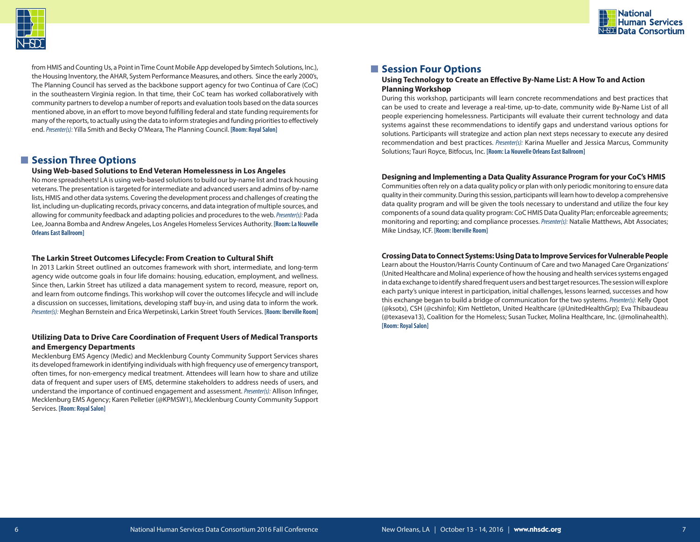

from HMIS and Counting Us, a Point in Time Count Mobile App developed by Simtech Solutions, Inc.), the Housing Inventory, the AHAR, System Performance Measures, and others. Since the early 2000's, The Planning Council has served as the backbone support agency for two Continua of Care (CoC) in the southeastern Virginia region. In that time, their CoC team has worked collaboratively with community partners to develop a number of reports and evaluation tools based on the data sources mentioned above, in an effort to move beyond fulfilling federal and state funding requirements for many of the reports, to actually using the data to inform strategies and funding priorities to effectively end. *Presenter(s):* Yilla Smith and Becky O'Meara, The Planning Council. **[Room: Royal Salon]**

### $\blacksquare$  **Session Three Options**

#### **Using Web-based Solutions to End Veteran Homelessness in Los Angeles**

No more spreadsheets! LA is using web-based solutions to build our by-name list and track housing veterans. The presentation is targeted for intermediate and advanced users and admins of by-name lists, HMIS and other data systems. Covering the development process and challenges of creating the list, including un-duplicating records, privacy concerns, and data integration of multiple sources, and allowing for community feedback and adapting policies and procedures to the web. *Presenter(s):* Pada Lee, Joanna Bomba and Andrew Angeles, Los Angeles Homeless Services Authority. **[Room: La Nouvelle Orleans East Ballroom]**

#### **The Larkin Street Outcomes Lifecycle: From Creation to Cultural Shift**

In 2013 Larkin Street outlined an outcomes framework with short, intermediate, and long-term agency wide outcome goals in four life domains: housing, education, employment, and wellness. Since then, Larkin Street has utilized a data management system to record, measure, report on, and learn from outcome findings. This workshop will cover the outcomes lifecycle and will include a discussion on successes, limitations, developing staff buy-in, and using data to inform the work. *Presenter(s):* Meghan Bernstein and Erica Werpetinski, Larkin Street Youth Services. **[Room: Iberville Room]**

#### **Utilizing Data to Drive Care Coordination of Frequent Users of Medical Transports and Emergency Departments**

Mecklenburg EMS Agency (Medic) and Mecklenburg County Community Support Services shares its developed framework in identifying individuals with high frequency use of emergency transport, often times, for non-emergency medical treatment. Attendees will learn how to share and utilize data of frequent and super users of EMS, determine stakeholders to address needs of users, and understand the importance of continued engagement and assessment. *Presenter(s):* Allison Infinger, Mecklenburg EMS Agency; Karen Pelletier (@KPMSW1), Mecklenburg County Community Support Services. **[Room: Royal Salon]**

### **N** Session Four Options

#### **Using Technology to Create an Effective By-Name List: A How To and Action Planning Workshop**

During this workshop, participants will learn concrete recommendations and best practices that can be used to create and leverage a real-time, up-to-date, community wide By-Name List of all people experiencing homelessness. Participants will evaluate their current technology and data systems against these recommendations to identify gaps and understand various options for solutions. Participants will strategize and action plan next steps necessary to execute any desired recommendation and best practices. *Presenter(s):* Karina Mueller and Jessica Marcus, Community Solutions; Tauri Royce, Bitfocus, Inc. **[Room: La Nouvelle Orleans East Ballroom]**

**National** 

**Human Services** N-SDI Data Consortium

#### **Designing and Implementing a Data Quality Assurance Program for your CoC's HMIS**

Communities often rely on a data quality policy or plan with only periodic monitoring to ensure data quality in their community. During this session, participants will learn how to develop a comprehensive data quality program and will be given the tools necessary to understand and utilize the four key components of a sound data quality program: CoC HMIS Data Quality Plan; enforceable agreements; monitoring and reporting; and compliance processes. *Presenter(s):* Natalie Matthews, Abt Associates; Mike Lindsay, ICF. **[Room: Iberville Room]**

#### **Crossing Data to Connect Systems: Using Data to Improve Services for Vulnerable People**

Learn about the Houston/Harris County Continuum of Care and two Managed Care Organizations' (United Healthcare and Molina) experience of how the housing and health services systems engaged in data exchange to identify shared frequent users and best target resources. The session will explore each party's unique interest in participation, initial challenges, lessons learned, successes and how this exchange began to build a bridge of communication for the two systems. *Presenter(s):* Kelly Opot (@ksotx), CSH (@cshinfo); Kim Nettleton, United Healthcare (@UnitedHealthGrp); Eva Thibaudeau (@texaseva13), Coalition for the Homeless; Susan Tucker, Molina Healthcare, Inc. (@molinahealth). **[Room: Royal Salon]**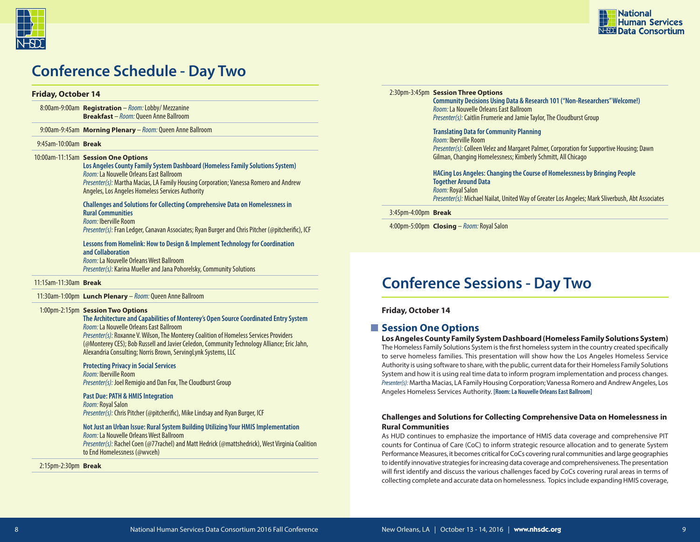



# **Conference Schedule - Day Two**

#### **Friday, October 14**

8:00am-9:00am **Registration** – *Room:*Lobby/ Mezzanine **Breakfast** – *Room:* Queen Anne Ballroom

9:00am-9:45am **Morning Plenary** – *Room:* Queen Anne Ballroom

#### 9:45am-10:00am **Break**

#### 10:00am-11:15am **Session One Options**

**Los Angeles County Family System Dashboard (Homeless Family Solutions System)** *Room:* La Nouvelle Orleans East Ballroom *Presenter(s):* Martha Macias, LA Family Housing Corporation; Vanessa Romero and Andrew Angeles, Los Angeles Homeless Services Authority

**Challenges and Solutions for Collecting Comprehensive Data on Homelessness in Rural Communities** *Room:* Iberville Room

*Presenter(s):* Fran Ledger, Canavan Associates; Ryan Burger and Chris Pitcher (@pitcherific), ICF

**Lessons from Homelink: How to Design & Implement Technology for Coordination and Collaboration** *Room:* La Nouvelle Orleans West Ballroom *Presenter(s):* Karina Mueller and Jana Pohorelsky, Community Solutions

11:15am-11:30am **Break**

11:30am-1:00pm **Lunch Plenary** – *Room:* Queen Anne Ballroom

#### 1:00pm-2:15pm **Session Two Options**

#### **The Architecture and Capabilities of Monterey's Open Source Coordinated Entry System** *Room:* La Nouvelle Orleans East Ballroom

*Presenter(s):* Roxanne V. Wilson, The Monterey Coalition of Homeless Services Providers (@Monterey CES); Bob Russell and Javier Celedon, Community Technology Alliance; Eric Jahn, Alexandria Consulting; Norris Brown, ServingLynk Systems, LLC

#### **Protecting Privacy in Social Services**

*Room:* Iberville Room *Presenter(s):* Joel Remigio and Dan Fox, The Cloudburst Group

#### **Past Due: PATH & HMIS Integration**

*Room:* Royal Salon *Presenter(s):* Chris Pitcher (@pitcherific), Mike Lindsay and Ryan Burger, ICF

### **Not Just an Urban Issue: Rural System Building Utilizing Your HMIS Implementation**

*Room:* La Nouvelle Orleans West Ballroom *Presenter(s):* Rachel Coen (@77rachel) and Matt Hedrick (@mattshedrick), West Virginia Coalition to End Homelessness (@wvceh)

2:15pm-2:30pm **Break** 

#### 2:30pm-3:45pm **Session Three Options**

**Community Decisions Using Data & Research 101 ("Non-Researchers" Welcome!)** *Room:* La Nouvelle Orleans East Ballroom *Presenter(s):* Caitlin Frumerie and Jamie Taylor, The Cloudburst Group

**Translating Data for Community Planning** *Room:* Iberville Room *Presenter(s):* Colleen Velez and Margaret Palmer, Corporation for Supportive Housing; Dawn Gilman, Changing Homelessness; Kimberly Schmitt, All Chicago

**HACing Los Angeles: Changing the Course of Homelessness by Bringing People Together Around Data** *Room:* Royal Salon *Presenter(s):* Michael Nailat, United Way of Greater Los Angeles; Mark Sliverbush, Abt Associates

3:45pm-4:00pm **Break**

4:00pm-5:00pm **Closing** – *Room:* Royal Salon

# **Conference Sessions - Day Two**

**Friday, October 14**

### **Session One Options**

**Los Angeles County Family System Dashboard (Homeless Family Solutions System)** The Homeless Family Solutions System is the first homeless system in the country created specifically to serve homeless families. This presentation will show how the Los Angeles Homeless Service Authority is using software to share, with the public, current data for their Homeless Family Solutions System and how it is using real time data to inform program implementation and process changes. *Presenter(s):* Martha Macias, LA Family Housing Corporation; Vanessa Romero and Andrew Angeles, Los Angeles Homeless Services Authority. **[Room: La Nouvelle Orleans East Ballroom]**

#### **Challenges and Solutions for Collecting Comprehensive Data on Homelessness in Rural Communities**

As HUD continues to emphasize the importance of HMIS data coverage and comprehensive PIT counts for Continua of Care (CoC) to inform strategic resource allocation and to generate System Performance Measures, it becomes critical for CoCs covering rural communities and large geographies to identify innovative strategies for increasing data coverage and comprehensiveness. The presentation will first identify and discuss the various challenges faced by CoCs covering rural areas in terms of collecting complete and accurate data on homelessness. Topics include expanding HMIS coverage,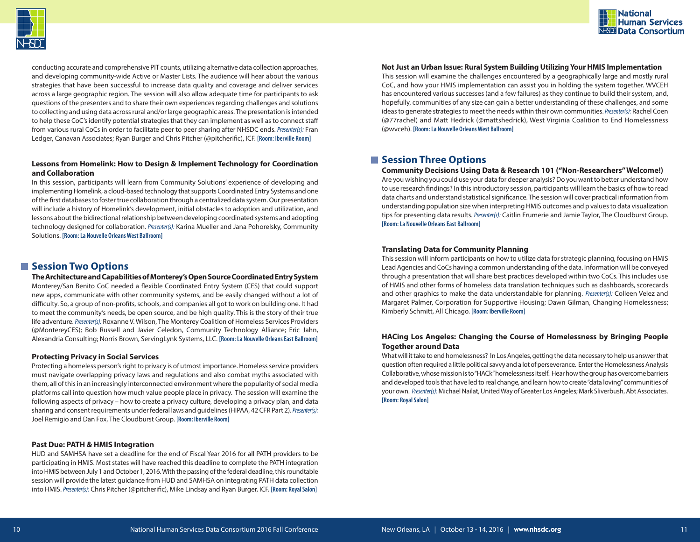



conducting accurate and comprehensive PIT counts, utilizing alternative data collection approaches, and developing community-wide Active or Master Lists. The audience will hear about the various strategies that have been successful to increase data quality and coverage and deliver services across a large geographic region. The session will also allow adequate time for participants to ask questions of the presenters and to share their own experiences regarding challenges and solutions to collecting and using data across rural and/or large geographic areas. The presentation is intended to help these CoC's identify potential strategies that they can implement as well as to connect staff from various rural CoCs in order to facilitate peer to peer sharing after NHSDC ends. *Presenter(s):* Fran Ledger, Canavan Associates; Ryan Burger and Chris Pitcher (@pitcherific), ICF. **[Room: Iberville Room]**

#### **Lessons from Homelink: How to Design & Implement Technology for Coordination and Collaboration**

In this session, participants will learn from Community Solutions' experience of developing and implementing Homelink, a cloud-based technology that supports Coordinated Entry Systems and one of the first databases to foster true collaboration through a centralized data system. Our presentation will include a history of Homelink's development, initial obstacles to adoption and utilization, and lessons about the bidirectional relationship between developing coordinated systems and adopting technology designed for collaboration. *Presenter(s):* Karina Mueller and Jana Pohorelsky, Community Solutions. **[Room: La Nouvelle Orleans West Ballroom]**

### $\blacksquare$  **Session Two Options**

**The Architecture and Capabilities of Monterey's Open Source Coordinated Entry System** Monterey/San Benito CoC needed a flexible Coordinated Entry System (CES) that could support new apps, communicate with other community systems, and be easily changed without a lot of difficulty. So, a group of non-profits, schools, and companies all got to work on building one. It had to meet the community's needs, be open source, and be high quality. This is the story of their true life adventure. *Presenter(s):* Roxanne V. Wilson, The Monterey Coalition of Homeless Services Providers (@MontereyCES); Bob Russell and Javier Celedon, Community Technology Alliance; Eric Jahn, Alexandria Consulting; Norris Brown, ServingLynk Systems, LLC. **[Room: La Nouvelle Orleans East Ballroom]**

#### **Protecting Privacy in Social Services**

Protecting a homeless person's right to privacy is of utmost importance. Homeless service providers must navigate overlapping privacy laws and regulations and also combat myths associated with them, all of this in an increasingly interconnected environment where the popularity of social media platforms call into question how much value people place in privacy. The session will examine the following aspects of privacy – how to create a privacy culture, developing a privacy plan, and data sharing and consent requirements under federal laws and guidelines (HIPAA, 42 CFR Part 2). *Presenter(s):*  Joel Remigio and Dan Fox, The Cloudburst Group. **[Room: Iberville Room]**

#### **Past Due: PATH & HMIS Integration**

HUD and SAMHSA have set a deadline for the end of Fiscal Year 2016 for all PATH providers to be participating in HMIS. Most states will have reached this deadline to complete the PATH integration into HMIS between July 1 and October 1, 2016. With the passing of the federal deadline, this roundtable session will provide the latest guidance from HUD and SAMHSA on integrating PATH data collection into HMIS. *Presenter(s):* Chris Pitcher (@pitcherific), Mike Lindsay and Ryan Burger, ICF. **[Room: Royal Salon]**

#### **Not Just an Urban Issue: Rural System Building Utilizing Your HMIS Implementation**

This session will examine the challenges encountered by a geographically large and mostly rural CoC, and how your HMIS implementation can assist you in holding the system together. WVCEH has encountered various successes (and a few failures) as they continue to build their system, and, hopefully, communities of any size can gain a better understanding of these challenges, and some ideas to generate strategies to meet the needs within their own communities. *Presenter(s):* Rachel Coen (@77rachel) and Matt Hedrick (@mattshedrick), West Virginia Coalition to End Homelessness (@wvceh). **[Room: La Nouvelle Orleans West Ballroom]**

### $\blacksquare$  Session Three Options

#### **Community Decisions Using Data & Research 101 ("Non-Researchers" Welcome!)**

Are you wishing you could use your data for deeper analysis? Do you want to better understand how to use research findings? In this introductory session, participants will learn the basics of how to read data charts and understand statistical significance. The session will cover practical information from understanding population size when interpreting HMIS outcomes and p values to data visualization tips for presenting data results. *Presenter(s):* Caitlin Frumerie and Jamie Taylor, The Cloudburst Group. **[Room: La Nouvelle Orleans East Ballroom]**

#### **Translating Data for Community Planning**

This session will inform participants on how to utilize data for strategic planning, focusing on HMIS Lead Agencies and CoCs having a common understanding of the data. Information will be conveyed through a presentation that will share best practices developed within two CoCs. This includes use of HMIS and other forms of homeless data translation techniques such as dashboards, scorecards and other graphics to make the data understandable for planning. *Presenter(s):* Colleen Velez and Margaret Palmer, Corporation for Supportive Housing; Dawn Gilman, Changing Homelessness; Kimberly Schmitt, All Chicago. **[Room: Iberville Room]**

#### **HACing Los Angeles: Changing the Course of Homelessness by Bringing People Together around Data**

What will it take to end homelessness? In Los Angeles, getting the data necessary to help us answer that question often required a little political savvy and a lot of perseverance. Enter the Homelessness Analysis Collaborative, whose mission is to "HACk" homelessness itself. Hear how the group has overcome barriers and developed tools that have led to real change, and learn how to create "data loving" communities of your own. *Presenter(s):* Michael Nailat, United Way of Greater Los Angeles; Mark Sliverbush, Abt Associates. **[Room: Royal Salon]**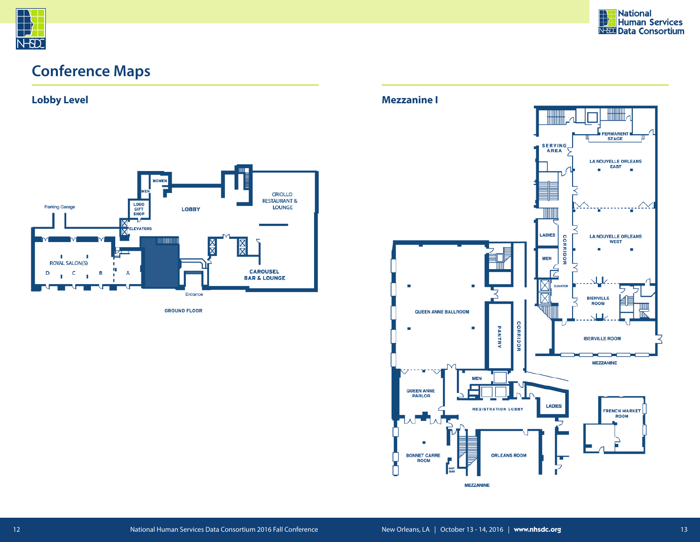

# **Conference Maps**

**Lobby Level Mezzanine I**



**GROUND FLOOR** 

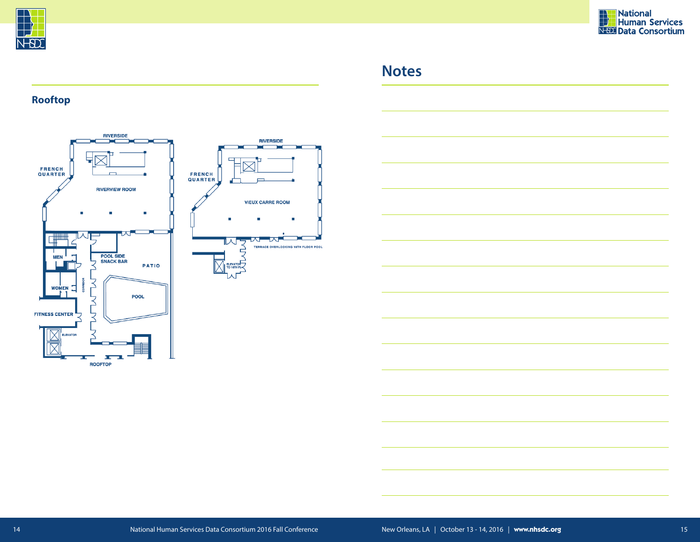



# **Notes**

### **Rooftop**